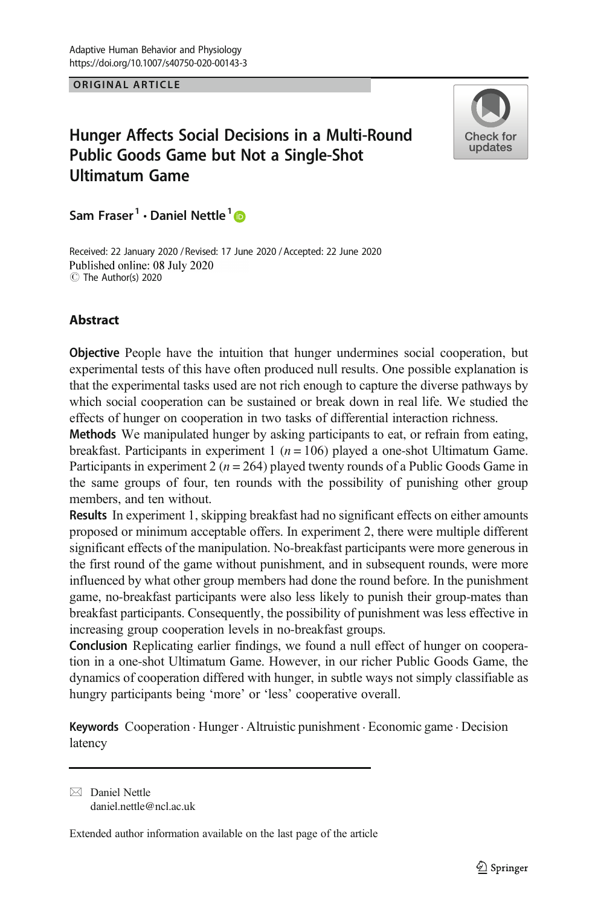**ORIGINAL ARTICLE** 

# Hunger Affects Social Decisions in a Multi-Round Public Goods Game but Not a Single-Shot Ultimatum Game



Sam Fraser<sup>1</sup> · Daniel Nettle<sup>1</sup> <sup>O</sup>

Received: 22 January 2020 / Revised: 17 June 2020 / Accepted: 22 June 2020 Published online: 08 July 2020  $\circledcirc$  The Author(s) 2020

# Abstract

Objective People have the intuition that hunger undermines social cooperation, but experimental tests of this have often produced null results. One possible explanation is that the experimental tasks used are not rich enough to capture the diverse pathways by which social cooperation can be sustained or break down in real life. We studied the effects of hunger on cooperation in two tasks of differential interaction richness.

Methods We manipulated hunger by asking participants to eat, or refrain from eating, breakfast. Participants in experiment 1 ( $n = 106$ ) played a one-shot Ultimatum Game. Participants in experiment 2 ( $n = 264$ ) played twenty rounds of a Public Goods Game in the same groups of four, ten rounds with the possibility of punishing other group members, and ten without.

Results In experiment 1, skipping breakfast had no significant effects on either amounts proposed or minimum acceptable offers. In experiment 2, there were multiple different significant effects of the manipulation. No-breakfast participants were more generous in the first round of the game without punishment, and in subsequent rounds, were more influenced by what other group members had done the round before. In the punishment game, no-breakfast participants were also less likely to punish their group-mates than breakfast participants. Consequently, the possibility of punishment was less effective in increasing group cooperation levels in no-breakfast groups.

Conclusion Replicating earlier findings, we found a null effect of hunger on cooperation in a one-shot Ultimatum Game. However, in our richer Public Goods Game, the dynamics of cooperation differed with hunger, in subtle ways not simply classifiable as hungry participants being 'more' or 'less' cooperative overall.

Keywords Cooperation . Hunger . Altruistic punishment . Economic game . Decision latency

 $\boxtimes$  Daniel Nettle [daniel.nettle@ncl.ac.uk](mailto:daniel.nettle@ncl.ac.uk)

Extended author information available on the last page of the article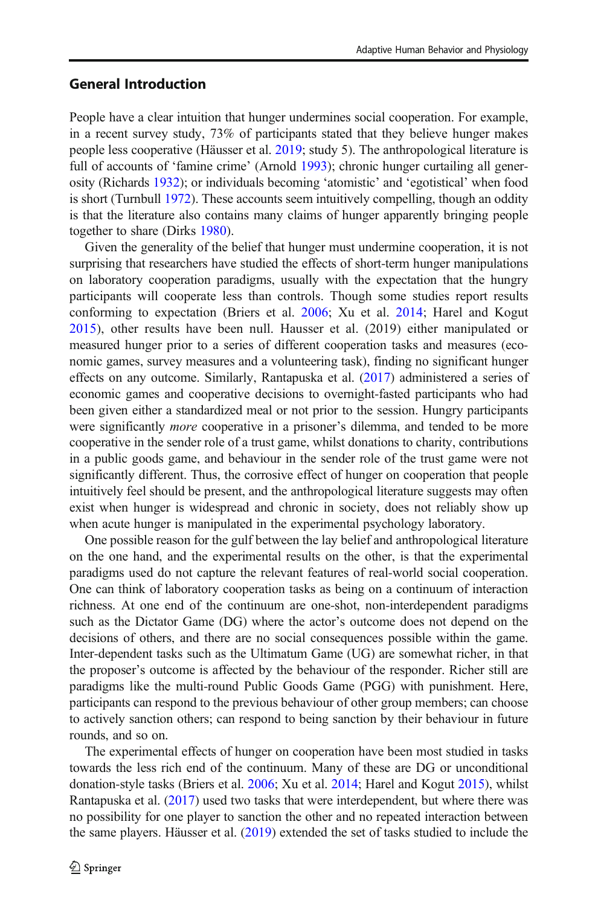# General Introduction

People have a clear intuition that hunger undermines social cooperation. For example, in a recent survey study, 73% of participants stated that they believe hunger makes people less cooperative (Häusser et al. [2019;](#page-20-0) study 5). The anthropological literature is full of accounts of 'famine crime' (Arnold [1993\)](#page-19-0); chronic hunger curtailing all generosity (Richards [1932](#page-20-0)); or individuals becoming 'atomistic' and 'egotistical' when food is short (Turnbull [1972](#page-21-0)). These accounts seem intuitively compelling, though an oddity is that the literature also contains many claims of hunger apparently bringing people together to share (Dirks [1980](#page-19-0)).

Given the generality of the belief that hunger must undermine cooperation, it is not surprising that researchers have studied the effects of short-term hunger manipulations on laboratory cooperation paradigms, usually with the expectation that the hungry participants will cooperate less than controls. Though some studies report results conforming to expectation (Briers et al. [2006](#page-19-0); Xu et al. [2014](#page-21-0); Harel and Kogut [2015](#page-20-0)), other results have been null. Hausser et al. (2019) either manipulated or measured hunger prior to a series of different cooperation tasks and measures (economic games, survey measures and a volunteering task), finding no significant hunger effects on any outcome. Similarly, Rantapuska et al. [\(2017\)](#page-20-0) administered a series of economic games and cooperative decisions to overnight-fasted participants who had been given either a standardized meal or not prior to the session. Hungry participants were significantly *more* cooperative in a prisoner's dilemma, and tended to be more cooperative in the sender role of a trust game, whilst donations to charity, contributions in a public goods game, and behaviour in the sender role of the trust game were not significantly different. Thus, the corrosive effect of hunger on cooperation that people intuitively feel should be present, and the anthropological literature suggests may often exist when hunger is widespread and chronic in society, does not reliably show up when acute hunger is manipulated in the experimental psychology laboratory.

One possible reason for the gulf between the lay belief and anthropological literature on the one hand, and the experimental results on the other, is that the experimental paradigms used do not capture the relevant features of real-world social cooperation. One can think of laboratory cooperation tasks as being on a continuum of interaction richness. At one end of the continuum are one-shot, non-interdependent paradigms such as the Dictator Game (DG) where the actor's outcome does not depend on the decisions of others, and there are no social consequences possible within the game. Inter-dependent tasks such as the Ultimatum Game (UG) are somewhat richer, in that the proposer's outcome is affected by the behaviour of the responder. Richer still are paradigms like the multi-round Public Goods Game (PGG) with punishment. Here, participants can respond to the previous behaviour of other group members; can choose to actively sanction others; can respond to being sanction by their behaviour in future rounds, and so on.

The experimental effects of hunger on cooperation have been most studied in tasks towards the less rich end of the continuum. Many of these are DG or unconditional donation-style tasks (Briers et al. [2006;](#page-19-0) Xu et al. [2014](#page-21-0); Harel and Kogut [2015](#page-20-0)), whilst Rantapuska et al. ([2017](#page-20-0)) used two tasks that were interdependent, but where there was no possibility for one player to sanction the other and no repeated interaction between the same players. Häusser et al. [\(2019\)](#page-20-0) extended the set of tasks studied to include the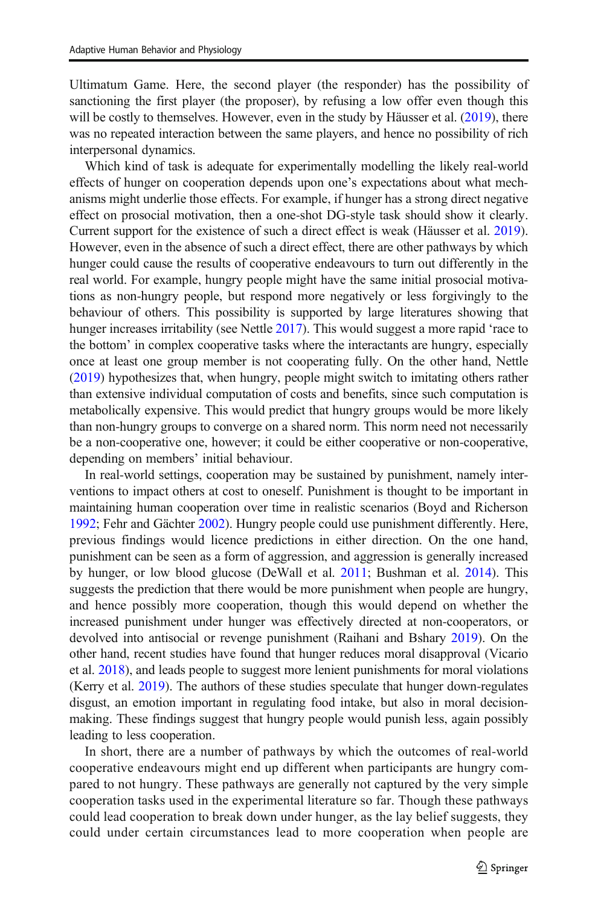Ultimatum Game. Here, the second player (the responder) has the possibility of sanctioning the first player (the proposer), by refusing a low offer even though this will be costly to themselves. However, even in the study by Häusser et al. ([2019](#page-20-0)), there was no repeated interaction between the same players, and hence no possibility of rich interpersonal dynamics.

Which kind of task is adequate for experimentally modelling the likely real-world effects of hunger on cooperation depends upon one's expectations about what mechanisms might underlie those effects. For example, if hunger has a strong direct negative effect on prosocial motivation, then a one-shot DG-style task should show it clearly. Current support for the existence of such a direct effect is weak (Häusser et al. [2019\)](#page-20-0). However, even in the absence of such a direct effect, there are other pathways by which hunger could cause the results of cooperative endeavours to turn out differently in the real world. For example, hungry people might have the same initial prosocial motivations as non-hungry people, but respond more negatively or less forgivingly to the behaviour of others. This possibility is supported by large literatures showing that hunger increases irritability (see Nettle [2017](#page-20-0)). This would suggest a more rapid 'race to the bottom' in complex cooperative tasks where the interactants are hungry, especially once at least one group member is not cooperating fully. On the other hand, Nettle [\(2019\)](#page-20-0) hypothesizes that, when hungry, people might switch to imitating others rather than extensive individual computation of costs and benefits, since such computation is metabolically expensive. This would predict that hungry groups would be more likely than non-hungry groups to converge on a shared norm. This norm need not necessarily be a non-cooperative one, however; it could be either cooperative or non-cooperative, depending on members' initial behaviour.

In real-world settings, cooperation may be sustained by punishment, namely interventions to impact others at cost to oneself. Punishment is thought to be important in maintaining human cooperation over time in realistic scenarios (Boyd and Richerson [1992;](#page-19-0) Fehr and Gächter [2002](#page-20-0)). Hungry people could use punishment differently. Here, previous findings would licence predictions in either direction. On the one hand, punishment can be seen as a form of aggression, and aggression is generally increased by hunger, or low blood glucose (DeWall et al. [2011](#page-19-0); Bushman et al. [2014](#page-19-0)). This suggests the prediction that there would be more punishment when people are hungry, and hence possibly more cooperation, though this would depend on whether the increased punishment under hunger was effectively directed at non-cooperators, or devolved into antisocial or revenge punishment (Raihani and Bshary [2019](#page-20-0)). On the other hand, recent studies have found that hunger reduces moral disapproval (Vicario et al. [2018\)](#page-21-0), and leads people to suggest more lenient punishments for moral violations (Kerry et al. [2019](#page-20-0)). The authors of these studies speculate that hunger down-regulates disgust, an emotion important in regulating food intake, but also in moral decisionmaking. These findings suggest that hungry people would punish less, again possibly leading to less cooperation.

In short, there are a number of pathways by which the outcomes of real-world cooperative endeavours might end up different when participants are hungry compared to not hungry. These pathways are generally not captured by the very simple cooperation tasks used in the experimental literature so far. Though these pathways could lead cooperation to break down under hunger, as the lay belief suggests, they could under certain circumstances lead to more cooperation when people are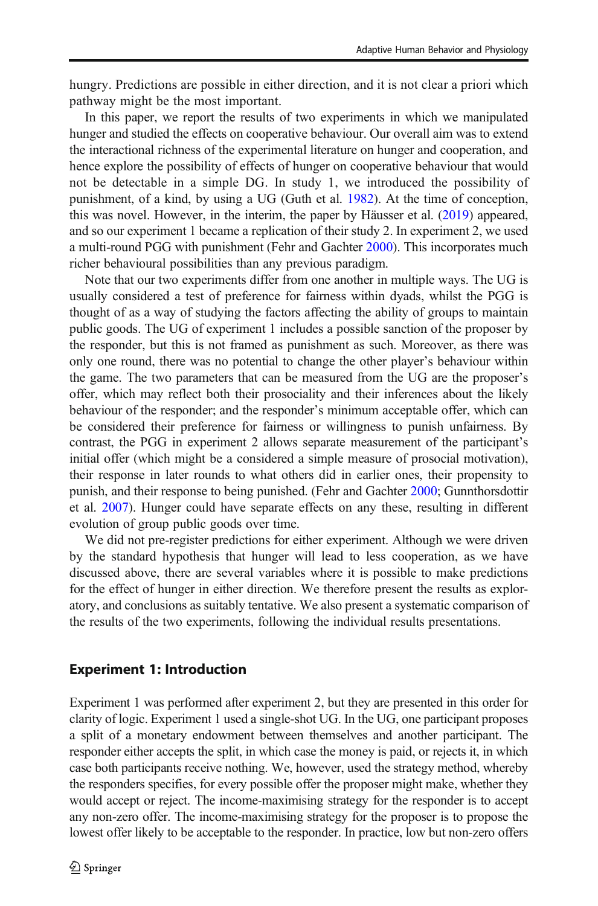hungry. Predictions are possible in either direction, and it is not clear a priori which pathway might be the most important.

In this paper, we report the results of two experiments in which we manipulated hunger and studied the effects on cooperative behaviour. Our overall aim was to extend the interactional richness of the experimental literature on hunger and cooperation, and hence explore the possibility of effects of hunger on cooperative behaviour that would not be detectable in a simple DG. In study 1, we introduced the possibility of punishment, of a kind, by using a UG (Guth et al. [1982\)](#page-20-0). At the time of conception, this was novel. However, in the interim, the paper by Häusser et al. [\(2019\)](#page-20-0) appeared, and so our experiment 1 became a replication of their study 2. In experiment 2, we used a multi-round PGG with punishment (Fehr and Gachter [2000\)](#page-20-0). This incorporates much richer behavioural possibilities than any previous paradigm.

Note that our two experiments differ from one another in multiple ways. The UG is usually considered a test of preference for fairness within dyads, whilst the PGG is thought of as a way of studying the factors affecting the ability of groups to maintain public goods. The UG of experiment 1 includes a possible sanction of the proposer by the responder, but this is not framed as punishment as such. Moreover, as there was only one round, there was no potential to change the other player's behaviour within the game. The two parameters that can be measured from the UG are the proposer's offer, which may reflect both their prosociality and their inferences about the likely behaviour of the responder; and the responder's minimum acceptable offer, which can be considered their preference for fairness or willingness to punish unfairness. By contrast, the PGG in experiment 2 allows separate measurement of the participant's initial offer (which might be a considered a simple measure of prosocial motivation), their response in later rounds to what others did in earlier ones, their propensity to punish, and their response to being punished. (Fehr and Gachter [2000](#page-20-0); Gunnthorsdottir et al. [2007](#page-20-0)). Hunger could have separate effects on any these, resulting in different evolution of group public goods over time.

We did not pre-register predictions for either experiment. Although we were driven by the standard hypothesis that hunger will lead to less cooperation, as we have discussed above, there are several variables where it is possible to make predictions for the effect of hunger in either direction. We therefore present the results as exploratory, and conclusions as suitably tentative. We also present a systematic comparison of the results of the two experiments, following the individual results presentations.

#### Experiment 1: Introduction

Experiment 1 was performed after experiment 2, but they are presented in this order for clarity of logic. Experiment 1 used a single-shot UG. In the UG, one participant proposes a split of a monetary endowment between themselves and another participant. The responder either accepts the split, in which case the money is paid, or rejects it, in which case both participants receive nothing. We, however, used the strategy method, whereby the responders specifies, for every possible offer the proposer might make, whether they would accept or reject. The income-maximising strategy for the responder is to accept any non-zero offer. The income-maximising strategy for the proposer is to propose the lowest offer likely to be acceptable to the responder. In practice, low but non-zero offers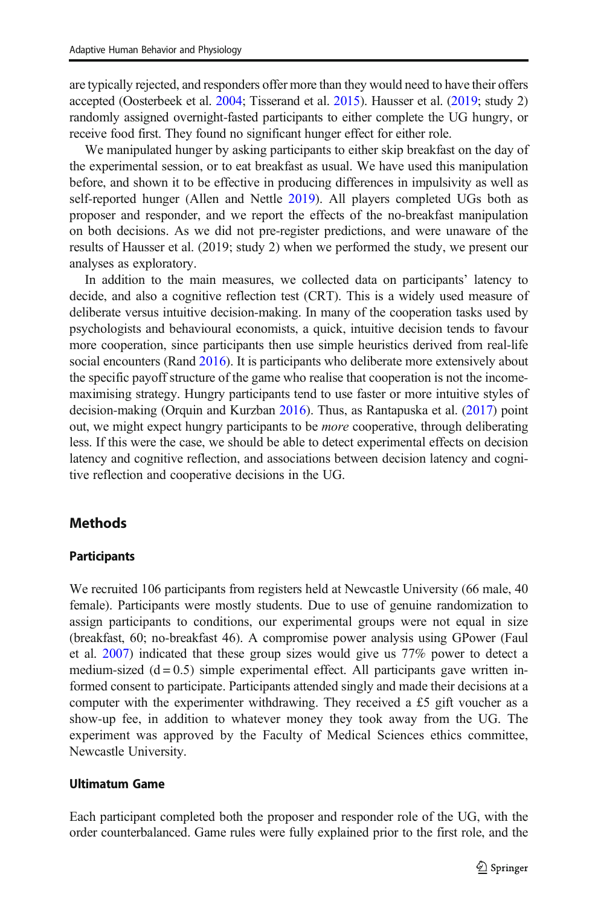are typically rejected, and responders offer more than they would need to have their offers accepted (Oosterbeek et al. [2004](#page-20-0); Tisserand et al. [2015\)](#page-21-0). Hausser et al. ([2019](#page-20-0); study 2) randomly assigned overnight-fasted participants to either complete the UG hungry, or receive food first. They found no significant hunger effect for either role.

We manipulated hunger by asking participants to either skip breakfast on the day of the experimental session, or to eat breakfast as usual. We have used this manipulation before, and shown it to be effective in producing differences in impulsivity as well as self-reported hunger (Allen and Nettle [2019\)](#page-19-0). All players completed UGs both as proposer and responder, and we report the effects of the no-breakfast manipulation on both decisions. As we did not pre-register predictions, and were unaware of the results of Hausser et al. (2019; study 2) when we performed the study, we present our analyses as exploratory.

In addition to the main measures, we collected data on participants' latency to decide, and also a cognitive reflection test (CRT). This is a widely used measure of deliberate versus intuitive decision-making. In many of the cooperation tasks used by psychologists and behavioural economists, a quick, intuitive decision tends to favour more cooperation, since participants then use simple heuristics derived from real-life social encounters (Rand [2016\)](#page-20-0). It is participants who deliberate more extensively about the specific payoff structure of the game who realise that cooperation is not the incomemaximising strategy. Hungry participants tend to use faster or more intuitive styles of decision-making (Orquin and Kurzban [2016\)](#page-20-0). Thus, as Rantapuska et al. ([2017](#page-20-0)) point out, we might expect hungry participants to be *more* cooperative, through deliberating less. If this were the case, we should be able to detect experimental effects on decision latency and cognitive reflection, and associations between decision latency and cognitive reflection and cooperative decisions in the UG.

# **Methods**

#### **Participants**

We recruited 106 participants from registers held at Newcastle University (66 male, 40 female). Participants were mostly students. Due to use of genuine randomization to assign participants to conditions, our experimental groups were not equal in size (breakfast, 60; no-breakfast 46). A compromise power analysis using GPower (Faul et al. [2007\)](#page-20-0) indicated that these group sizes would give us 77% power to detect a medium-sized  $(d = 0.5)$  simple experimental effect. All participants gave written informed consent to participate. Participants attended singly and made their decisions at a computer with the experimenter withdrawing. They received a £5 gift voucher as a show-up fee, in addition to whatever money they took away from the UG. The experiment was approved by the Faculty of Medical Sciences ethics committee, Newcastle University.

#### Ultimatum Game

Each participant completed both the proposer and responder role of the UG, with the order counterbalanced. Game rules were fully explained prior to the first role, and the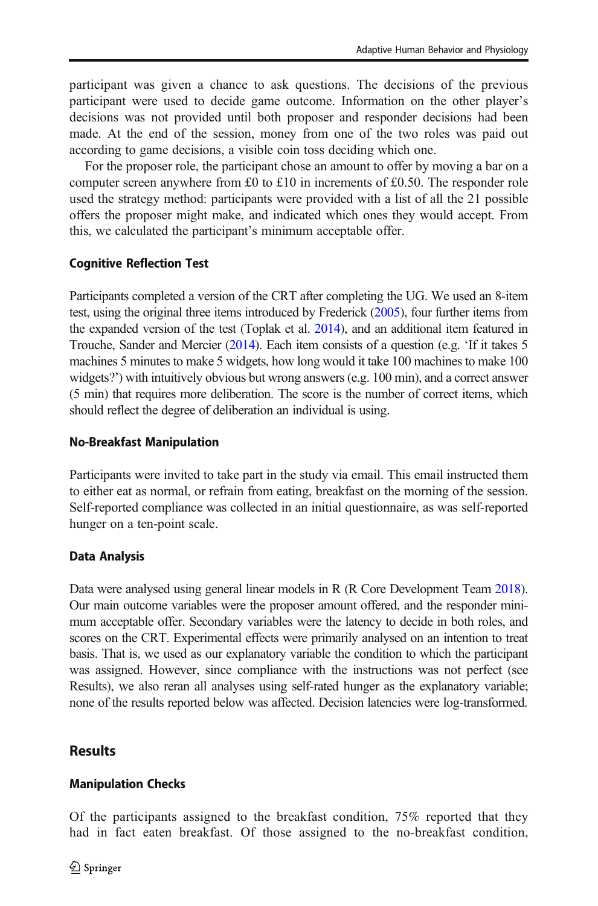participant was given a chance to ask questions. The decisions of the previous participant were used to decide game outcome. Information on the other player's decisions was not provided until both proposer and responder decisions had been made. At the end of the session, money from one of the two roles was paid out according to game decisions, a visible coin toss deciding which one.

For the proposer role, the participant chose an amount to offer by moving a bar on a computer screen anywhere from £0 to £10 in increments of £0.50. The responder role used the strategy method: participants were provided with a list of all the 21 possible offers the proposer might make, and indicated which ones they would accept. From this, we calculated the participant's minimum acceptable offer.

# Cognitive Reflection Test

Participants completed a version of the CRT after completing the UG. We used an 8-item test, using the original three items introduced by Frederick [\(2005](#page-20-0)), four further items from the expanded version of the test (Toplak et al. [2014](#page-21-0)), and an additional item featured in Trouche, Sander and Mercier ([2014](#page-21-0)). Each item consists of a question (e.g. 'If it takes 5 machines 5 minutes to make 5 widgets, how long would it take 100 machines to make 100 widgets?') with intuitively obvious but wrong answers (e.g. 100 min), and a correct answer (5 min) that requires more deliberation. The score is the number of correct items, which should reflect the degree of deliberation an individual is using.

## No-Breakfast Manipulation

Participants were invited to take part in the study via email. This email instructed them to either eat as normal, or refrain from eating, breakfast on the morning of the session. Self-reported compliance was collected in an initial questionnaire, as was self-reported hunger on a ten-point scale.

## Data Analysis

Data were analysed using general linear models in R (R Core Development Team [2018\)](#page-20-0). Our main outcome variables were the proposer amount offered, and the responder minimum acceptable offer. Secondary variables were the latency to decide in both roles, and scores on the CRT. Experimental effects were primarily analysed on an intention to treat basis. That is, we used as our explanatory variable the condition to which the participant was assigned. However, since compliance with the instructions was not perfect (see Results), we also reran all analyses using self-rated hunger as the explanatory variable; none of the results reported below was affected. Decision latencies were log-transformed.

# **Results**

# Manipulation Checks

Of the participants assigned to the breakfast condition, 75% reported that they had in fact eaten breakfast. Of those assigned to the no-breakfast condition,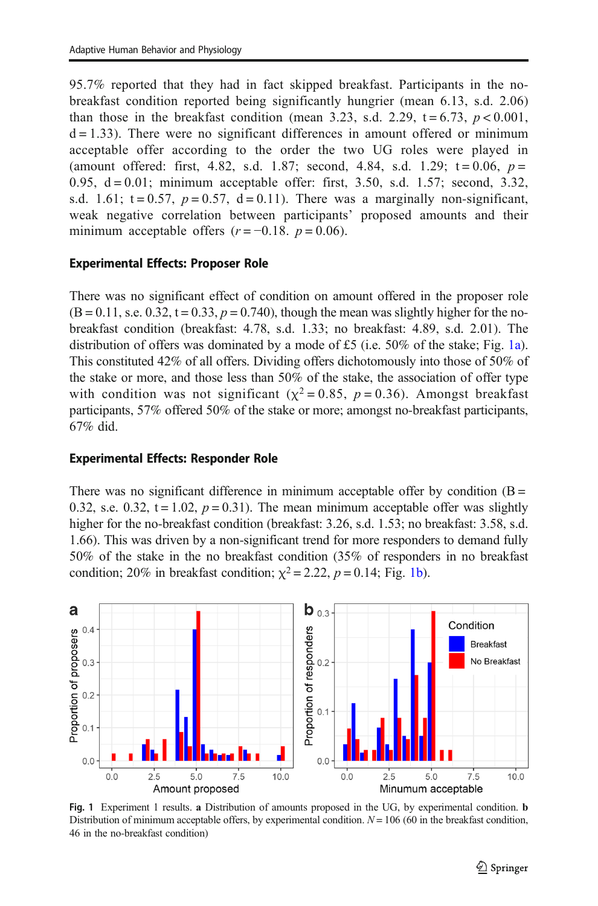<span id="page-6-0"></span>95.7% reported that they had in fact skipped breakfast. Participants in the nobreakfast condition reported being significantly hungrier (mean 6.13, s.d. 2.06) than those in the breakfast condition (mean 3.23, s.d. 2.29,  $t = 6.73$ ,  $p < 0.001$ ,  $d = 1.33$ ). There were no significant differences in amount offered or minimum acceptable offer according to the order the two UG roles were played in (amount offered: first, 4.82, s.d. 1.87; second, 4.84, s.d. 1.29;  $t = 0.06$ ,  $p =$ 0.95,  $d = 0.01$ ; minimum acceptable offer: first, 3.50, s.d. 1.57; second, 3.32, s.d. 1.61;  $t = 0.57$ ,  $p = 0.57$ ,  $d = 0.11$ ). There was a marginally non-significant, weak negative correlation between participants' proposed amounts and their minimum acceptable offers  $(r = -0.18, p = 0.06)$ .

#### Experimental Effects: Proposer Role

There was no significant effect of condition on amount offered in the proposer role  $(B = 0.11, s.e. 0.32, t = 0.33, p = 0.740)$ , though the mean was slightly higher for the nobreakfast condition (breakfast: 4.78, s.d. 1.33; no breakfast: 4.89, s.d. 2.01). The distribution of offers was dominated by a mode of £5 (i.e.  $50\%$  of the stake; Fig. 1a). This constituted 42% of all offers. Dividing offers dichotomously into those of 50% of the stake or more, and those less than 50% of the stake, the association of offer type with condition was not significant ( $\chi^2$  = 0.85, p = 0.36). Amongst breakfast participants, 57% offered 50% of the stake or more; amongst no-breakfast participants, 67% did.

#### Experimental Effects: Responder Role

There was no significant difference in minimum acceptable offer by condition  $(B =$ 0.32, s.e. 0.32,  $t = 1.02$ ,  $p = 0.31$ ). The mean minimum acceptable offer was slightly higher for the no-breakfast condition (breakfast: 3.26, s.d. 1.53; no breakfast: 3.58, s.d. 1.66). This was driven by a non-significant trend for more responders to demand fully 50% of the stake in the no breakfast condition (35% of responders in no breakfast condition; 20% in breakfast condition;  $\chi^2 = 2.22$ ,  $p = 0.14$ ; Fig. 1b).



Fig. 1 Experiment 1 results. a Distribution of amounts proposed in the UG, by experimental condition. b Distribution of minimum acceptable offers, by experimental condition.  $N = 106$  (60 in the breakfast condition, 46 in the no-breakfast condition)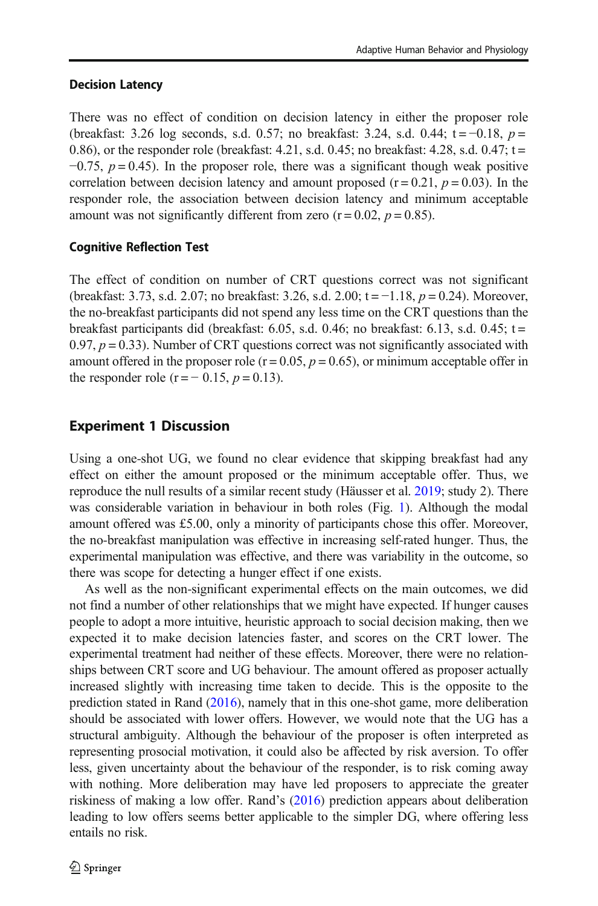#### Decision Latency

There was no effect of condition on decision latency in either the proposer role (breakfast: 3.26 log seconds, s.d. 0.57; no breakfast: 3.24, s.d. 0.44; t = −0.18,  $p =$ 0.86), or the responder role (breakfast: 4.21, s.d. 0.45; no breakfast: 4.28, s.d. 0.47;  $t =$  $-0.75$ ,  $p = 0.45$ ). In the proposer role, there was a significant though weak positive correlation between decision latency and amount proposed  $(r = 0.21, p = 0.03)$ . In the responder role, the association between decision latency and minimum acceptable amount was not significantly different from zero ( $r = 0.02$ ,  $p = 0.85$ ).

### Cognitive Reflection Test

The effect of condition on number of CRT questions correct was not significant (breakfast: 3.73, s.d. 2.07; no breakfast: 3.26, s.d. 2.00; t =  $-1.18$ ,  $p = 0.24$ ). Moreover, the no-breakfast participants did not spend any less time on the CRT questions than the breakfast participants did (breakfast:  $6.05$ , s.d.  $0.46$ ; no breakfast:  $6.13$ , s.d.  $0.45$ ;  $t =$ 0.97,  $p = 0.33$ ). Number of CRT questions correct was not significantly associated with amount offered in the proposer role ( $r = 0.05$ ,  $p = 0.65$ ), or minimum acceptable offer in the responder role (r =  $-$  0.15,  $p = 0.13$ ).

# Experiment 1 Discussion

Using a one-shot UG, we found no clear evidence that skipping breakfast had any effect on either the amount proposed or the minimum acceptable offer. Thus, we reproduce the null results of a similar recent study (Häusser et al. [2019](#page-20-0); study 2). There was considerable variation in behaviour in both roles (Fig. [1\)](#page-6-0). Although the modal amount offered was £5.00, only a minority of participants chose this offer. Moreover, the no-breakfast manipulation was effective in increasing self-rated hunger. Thus, the experimental manipulation was effective, and there was variability in the outcome, so there was scope for detecting a hunger effect if one exists.

As well as the non-significant experimental effects on the main outcomes, we did not find a number of other relationships that we might have expected. If hunger causes people to adopt a more intuitive, heuristic approach to social decision making, then we expected it to make decision latencies faster, and scores on the CRT lower. The experimental treatment had neither of these effects. Moreover, there were no relationships between CRT score and UG behaviour. The amount offered as proposer actually increased slightly with increasing time taken to decide. This is the opposite to the prediction stated in Rand ([2016](#page-20-0)), namely that in this one-shot game, more deliberation should be associated with lower offers. However, we would note that the UG has a structural ambiguity. Although the behaviour of the proposer is often interpreted as representing prosocial motivation, it could also be affected by risk aversion. To offer less, given uncertainty about the behaviour of the responder, is to risk coming away with nothing. More deliberation may have led proposers to appreciate the greater riskiness of making a low offer. Rand's [\(2016\)](#page-20-0) prediction appears about deliberation leading to low offers seems better applicable to the simpler DG, where offering less entails no risk.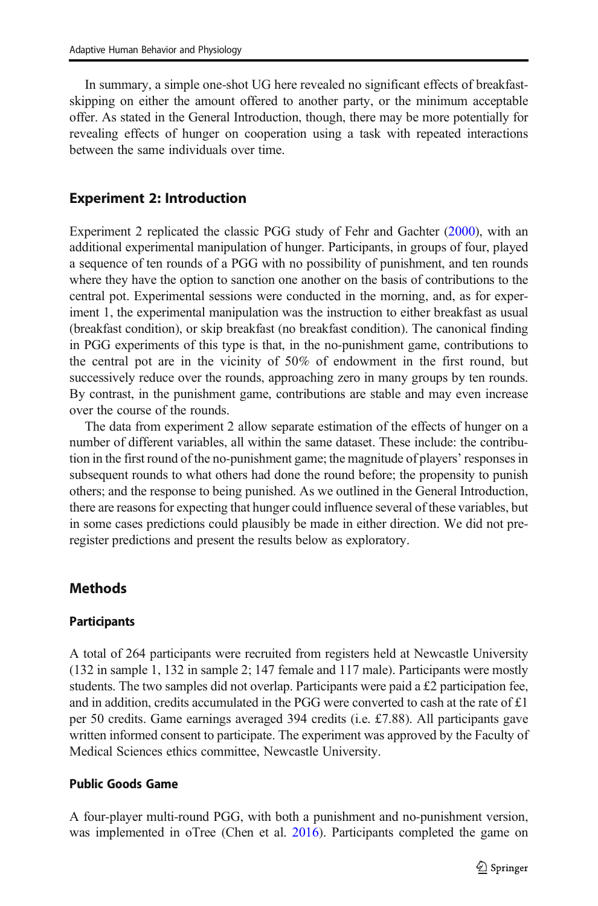In summary, a simple one-shot UG here revealed no significant effects of breakfastskipping on either the amount offered to another party, or the minimum acceptable offer. As stated in the General Introduction, though, there may be more potentially for revealing effects of hunger on cooperation using a task with repeated interactions between the same individuals over time.

# Experiment 2: Introduction

Experiment 2 replicated the classic PGG study of Fehr and Gachter ([2000](#page-20-0)), with an additional experimental manipulation of hunger. Participants, in groups of four, played a sequence of ten rounds of a PGG with no possibility of punishment, and ten rounds where they have the option to sanction one another on the basis of contributions to the central pot. Experimental sessions were conducted in the morning, and, as for experiment 1, the experimental manipulation was the instruction to either breakfast as usual (breakfast condition), or skip breakfast (no breakfast condition). The canonical finding in PGG experiments of this type is that, in the no-punishment game, contributions to the central pot are in the vicinity of 50% of endowment in the first round, but successively reduce over the rounds, approaching zero in many groups by ten rounds. By contrast, in the punishment game, contributions are stable and may even increase over the course of the rounds.

The data from experiment 2 allow separate estimation of the effects of hunger on a number of different variables, all within the same dataset. These include: the contribution in the first round of the no-punishment game; the magnitude of players' responses in subsequent rounds to what others had done the round before; the propensity to punish others; and the response to being punished. As we outlined in the General Introduction, there are reasons for expecting that hunger could influence several of these variables, but in some cases predictions could plausibly be made in either direction. We did not preregister predictions and present the results below as exploratory.

# **Methods**

#### **Participants**

A total of 264 participants were recruited from registers held at Newcastle University (132 in sample 1, 132 in sample 2; 147 female and 117 male). Participants were mostly students. The two samples did not overlap. Participants were paid a £2 participation fee, and in addition, credits accumulated in the PGG were converted to cash at the rate of  $\pounds 1$ per 50 credits. Game earnings averaged 394 credits (i.e. £7.88). All participants gave written informed consent to participate. The experiment was approved by the Faculty of Medical Sciences ethics committee, Newcastle University.

#### Public Goods Game

A four-player multi-round PGG, with both a punishment and no-punishment version, was implemented in oTree (Chen et al. [2016](#page-19-0)). Participants completed the game on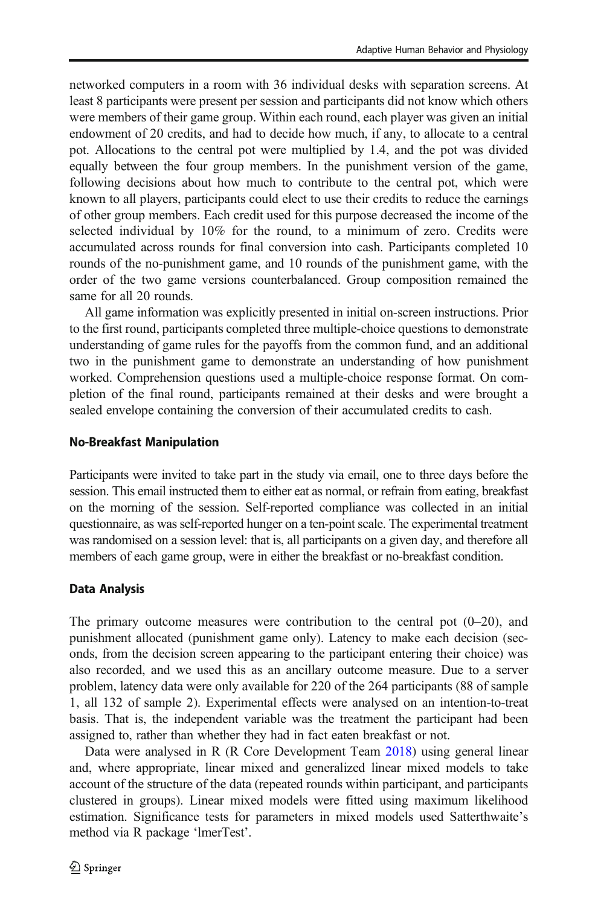networked computers in a room with 36 individual desks with separation screens. At least 8 participants were present per session and participants did not know which others were members of their game group. Within each round, each player was given an initial endowment of 20 credits, and had to decide how much, if any, to allocate to a central pot. Allocations to the central pot were multiplied by 1.4, and the pot was divided equally between the four group members. In the punishment version of the game, following decisions about how much to contribute to the central pot, which were known to all players, participants could elect to use their credits to reduce the earnings of other group members. Each credit used for this purpose decreased the income of the selected individual by 10% for the round, to a minimum of zero. Credits were accumulated across rounds for final conversion into cash. Participants completed 10 rounds of the no-punishment game, and 10 rounds of the punishment game, with the order of the two game versions counterbalanced. Group composition remained the same for all 20 rounds.

All game information was explicitly presented in initial on-screen instructions. Prior to the first round, participants completed three multiple-choice questions to demonstrate understanding of game rules for the payoffs from the common fund, and an additional two in the punishment game to demonstrate an understanding of how punishment worked. Comprehension questions used a multiple-choice response format. On completion of the final round, participants remained at their desks and were brought a sealed envelope containing the conversion of their accumulated credits to cash.

## No-Breakfast Manipulation

Participants were invited to take part in the study via email, one to three days before the session. This email instructed them to either eat as normal, or refrain from eating, breakfast on the morning of the session. Self-reported compliance was collected in an initial questionnaire, as was self-reported hunger on a ten-point scale. The experimental treatment was randomised on a session level: that is, all participants on a given day, and therefore all members of each game group, were in either the breakfast or no-breakfast condition.

## Data Analysis

The primary outcome measures were contribution to the central pot  $(0-20)$ , and punishment allocated (punishment game only). Latency to make each decision (seconds, from the decision screen appearing to the participant entering their choice) was also recorded, and we used this as an ancillary outcome measure. Due to a server problem, latency data were only available for 220 of the 264 participants (88 of sample 1, all 132 of sample 2). Experimental effects were analysed on an intention-to-treat basis. That is, the independent variable was the treatment the participant had been assigned to, rather than whether they had in fact eaten breakfast or not.

Data were analysed in R (R Core Development Team [2018\)](#page-20-0) using general linear and, where appropriate, linear mixed and generalized linear mixed models to take account of the structure of the data (repeated rounds within participant, and participants clustered in groups). Linear mixed models were fitted using maximum likelihood estimation. Significance tests for parameters in mixed models used Satterthwaite's method via R package 'lmerTest'.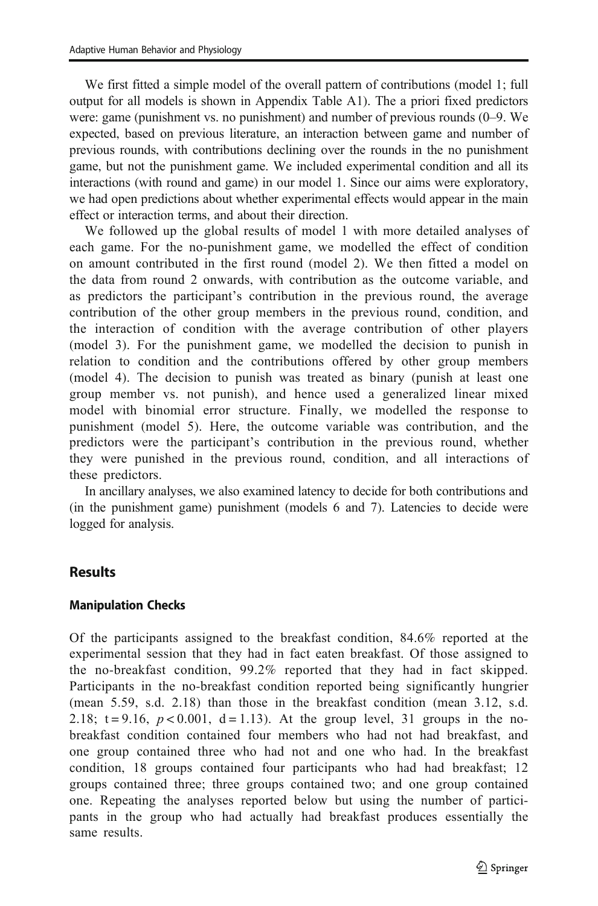We first fitted a simple model of the overall pattern of contributions (model 1; full output for all models is shown in Appendix Table A1). The a priori fixed predictors were: game (punishment vs. no punishment) and number of previous rounds (0–9. We expected, based on previous literature, an interaction between game and number of previous rounds, with contributions declining over the rounds in the no punishment game, but not the punishment game. We included experimental condition and all its interactions (with round and game) in our model 1. Since our aims were exploratory, we had open predictions about whether experimental effects would appear in the main effect or interaction terms, and about their direction.

We followed up the global results of model 1 with more detailed analyses of each game. For the no-punishment game, we modelled the effect of condition on amount contributed in the first round (model 2). We then fitted a model on the data from round 2 onwards, with contribution as the outcome variable, and as predictors the participant's contribution in the previous round, the average contribution of the other group members in the previous round, condition, and the interaction of condition with the average contribution of other players (model 3). For the punishment game, we modelled the decision to punish in relation to condition and the contributions offered by other group members (model 4). The decision to punish was treated as binary (punish at least one group member vs. not punish), and hence used a generalized linear mixed model with binomial error structure. Finally, we modelled the response to punishment (model 5). Here, the outcome variable was contribution, and the predictors were the participant's contribution in the previous round, whether they were punished in the previous round, condition, and all interactions of these predictors.

In ancillary analyses, we also examined latency to decide for both contributions and (in the punishment game) punishment (models 6 and 7). Latencies to decide were logged for analysis.

## **Results**

#### Manipulation Checks

Of the participants assigned to the breakfast condition, 84.6% reported at the experimental session that they had in fact eaten breakfast. Of those assigned to the no-breakfast condition, 99.2% reported that they had in fact skipped. Participants in the no-breakfast condition reported being significantly hungrier (mean 5.59, s.d. 2.18) than those in the breakfast condition (mean 3.12, s.d. 2.18; t = 9.16,  $p < 0.001$ , d = 1.13). At the group level, 31 groups in the nobreakfast condition contained four members who had not had breakfast, and one group contained three who had not and one who had. In the breakfast condition, 18 groups contained four participants who had had breakfast; 12 groups contained three; three groups contained two; and one group contained one. Repeating the analyses reported below but using the number of participants in the group who had actually had breakfast produces essentially the same results.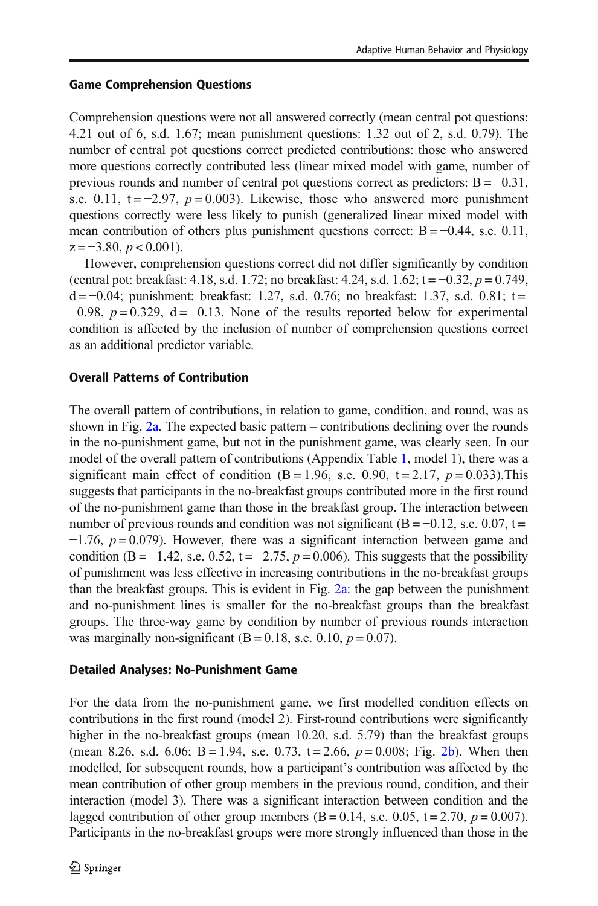### Game Comprehension Questions

Comprehension questions were not all answered correctly (mean central pot questions: 4.21 out of 6, s.d. 1.67; mean punishment questions: 1.32 out of 2, s.d. 0.79). The number of central pot questions correct predicted contributions: those who answered more questions correctly contributed less (linear mixed model with game, number of previous rounds and number of central pot questions correct as predictors:  $B = -0.31$ , s.e. 0.11, t =  $-2.97$ ,  $p = 0.003$ ). Likewise, those who answered more punishment questions correctly were less likely to punish (generalized linear mixed model with mean contribution of others plus punishment questions correct:  $B = -0.44$ , s.e. 0.11,  $z = -3.80, p < 0.001$ ).

However, comprehension questions correct did not differ significantly by condition (central pot: breakfast: 4.18, s.d. 1.72; no breakfast: 4.24, s.d. 1.62;  $t = -0.32$ ,  $p = 0.749$ , d = −0.04; punishment: breakfast: 1.27, s.d. 0.76; no breakfast: 1.37, s.d. 0.81; t =  $-0.98$ ,  $p = 0.329$ , d =  $-0.13$ . None of the results reported below for experimental condition is affected by the inclusion of number of comprehension questions correct as an additional predictor variable.

## Overall Patterns of Contribution

The overall pattern of contributions, in relation to game, condition, and round, was as shown in Fig. [2a](#page-12-0). The expected basic pattern – contributions declining over the rounds in the no-punishment game, but not in the punishment game, was clearly seen. In our model of the overall pattern of contributions (Appendix Table [1](#page-18-0), model 1), there was a significant main effect of condition  $(B = 1.96, \text{ s.e. } 0.90, \text{ t} = 2.17, p = 0.033)$ . This suggests that participants in the no-breakfast groups contributed more in the first round of the no-punishment game than those in the breakfast group. The interaction between number of previous rounds and condition was not significant (B =  $-0.12$ , s.e. 0.07, t =  $-1.76$ ,  $p = 0.079$ ). However, there was a significant interaction between game and condition (B =  $-1.42$ , s.e. 0.52, t =  $-2.75$ , p = 0.006). This suggests that the possibility of punishment was less effective in increasing contributions in the no-breakfast groups than the breakfast groups. This is evident in Fig. [2a](#page-12-0): the gap between the punishment and no-punishment lines is smaller for the no-breakfast groups than the breakfast groups. The three-way game by condition by number of previous rounds interaction was marginally non-significant (B = 0.18, s.e. 0.10,  $p = 0.07$ ).

## Detailed Analyses: No-Punishment Game

For the data from the no-punishment game, we first modelled condition effects on contributions in the first round (model 2). First-round contributions were significantly higher in the no-breakfast groups (mean 10.20, s.d. 5.79) than the breakfast groups (mean 8.26, s.d. 6.06;  $B = 1.94$ , s.e. 0.73,  $t = 2.66$ ,  $p = 0.008$ ; Fig. [2b](#page-12-0)). When then modelled, for subsequent rounds, how a participant's contribution was affected by the mean contribution of other group members in the previous round, condition, and their interaction (model 3). There was a significant interaction between condition and the lagged contribution of other group members  $(B = 0.14, s.e. 0.05, t = 2.70, p = 0.007)$ . Participants in the no-breakfast groups were more strongly influenced than those in the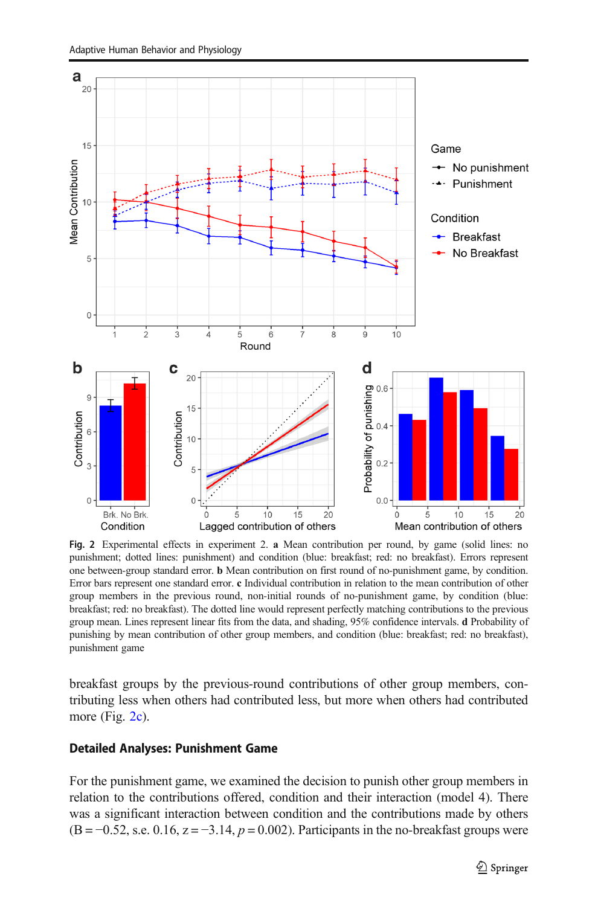<span id="page-12-0"></span>

Fig. 2 Experimental effects in experiment 2. a Mean contribution per round, by game (solid lines: no punishment; dotted lines: punishment) and condition (blue: breakfast; red: no breakfast). Errors represent one between-group standard error. b Mean contribution on first round of no-punishment game, by condition. Error bars represent one standard error. c Individual contribution in relation to the mean contribution of other group members in the previous round, non-initial rounds of no-punishment game, by condition (blue: breakfast; red: no breakfast). The dotted line would represent perfectly matching contributions to the previous group mean. Lines represent linear fits from the data, and shading, 95% confidence intervals. d Probability of punishing by mean contribution of other group members, and condition (blue: breakfast; red: no breakfast), punishment game

breakfast groups by the previous-round contributions of other group members, contributing less when others had contributed less, but more when others had contributed more (Fig. 2c).

#### Detailed Analyses: Punishment Game

For the punishment game, we examined the decision to punish other group members in relation to the contributions offered, condition and their interaction (model 4). There was a significant interaction between condition and the contributions made by others  $(B = -0.52, s.e. 0.16, z = -3.14, p = 0.002)$ . Participants in the no-breakfast groups were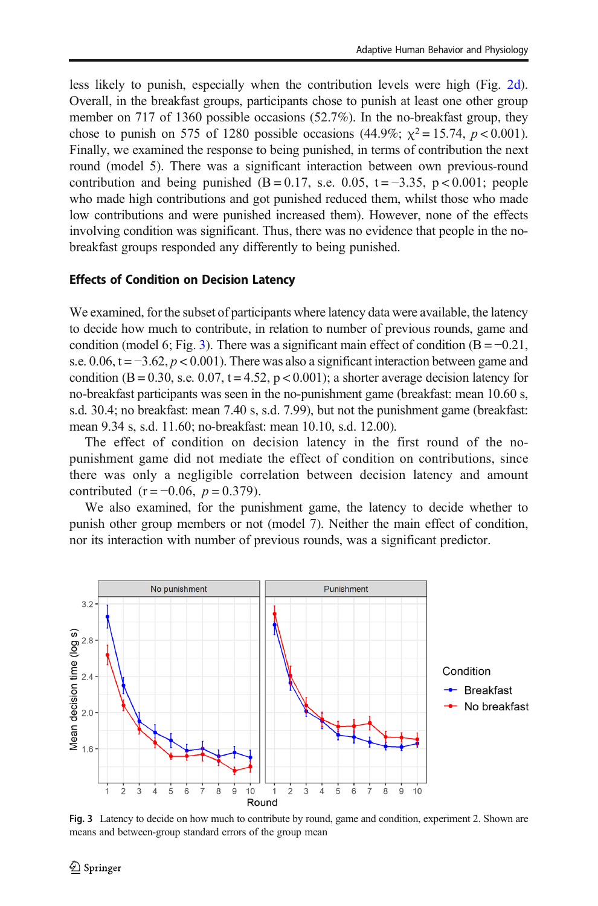less likely to punish, especially when the contribution levels were high (Fig. [2d\)](#page-12-0). Overall, in the breakfast groups, participants chose to punish at least one other group member on 717 of 1360 possible occasions (52.7%). In the no-breakfast group, they chose to punish on 575 of 1280 possible occasions (44.9%;  $\chi^2 = 15.74$ ,  $p < 0.001$ ). Finally, we examined the response to being punished, in terms of contribution the next round (model 5). There was a significant interaction between own previous-round contribution and being punished  $(B = 0.17, s.e. 0.05, t = -3.35, p < 0.001$ ; people who made high contributions and got punished reduced them, whilst those who made low contributions and were punished increased them). However, none of the effects involving condition was significant. Thus, there was no evidence that people in the nobreakfast groups responded any differently to being punished.

#### Effects of Condition on Decision Latency

We examined, for the subset of participants where latency data were available, the latency to decide how much to contribute, in relation to number of previous rounds, game and condition (model 6; Fig. 3). There was a significant main effect of condition  $(B = -0.21)$ , s.e. 0.06,  $t = -3.62$ ,  $p < 0.001$ ). There was also a significant interaction between game and condition (B = 0.30, s.e. 0.07,  $t = 4.52$ ,  $p < 0.001$ ); a shorter average decision latency for no-breakfast participants was seen in the no-punishment game (breakfast: mean 10.60 s, s.d. 30.4; no breakfast: mean 7.40 s, s.d. 7.99), but not the punishment game (breakfast: mean 9.34 s, s.d. 11.60; no-breakfast: mean 10.10, s.d. 12.00).

The effect of condition on decision latency in the first round of the nopunishment game did not mediate the effect of condition on contributions, since there was only a negligible correlation between decision latency and amount contributed (r =  $-0.06$ , p = 0.379).

We also examined, for the punishment game, the latency to decide whether to punish other group members or not (model 7). Neither the main effect of condition, nor its interaction with number of previous rounds, was a significant predictor.



Fig. 3 Latency to decide on how much to contribute by round, game and condition, experiment 2. Shown are means and between-group standard errors of the group mean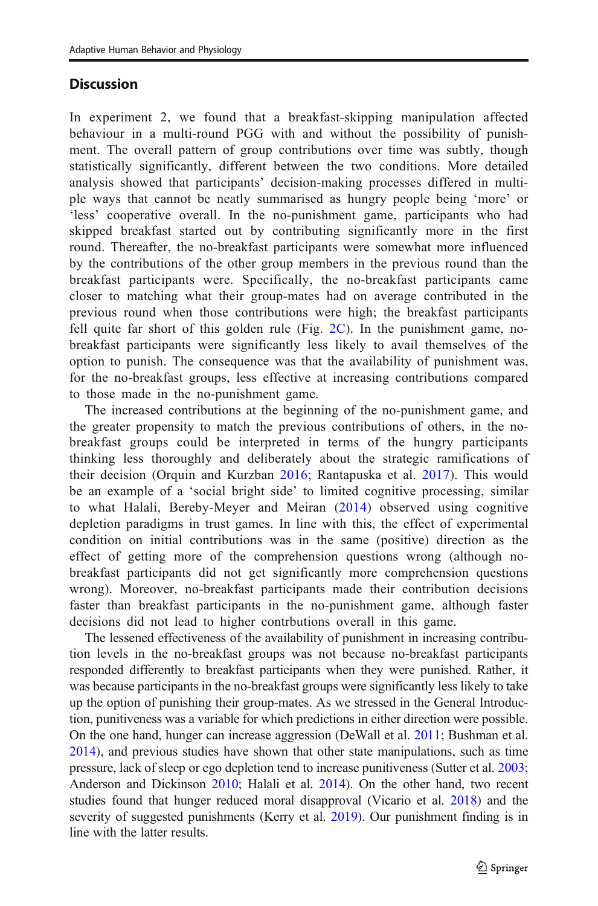# **Discussion**

In experiment 2, we found that a breakfast-skipping manipulation affected behaviour in a multi-round PGG with and without the possibility of punishment. The overall pattern of group contributions over time was subtly, though statistically significantly, different between the two conditions. More detailed analysis showed that participants' decision-making processes differed in multiple ways that cannot be neatly summarised as hungry people being 'more' or 'less' cooperative overall. In the no-punishment game, participants who had skipped breakfast started out by contributing significantly more in the first round. Thereafter, the no-breakfast participants were somewhat more influenced by the contributions of the other group members in the previous round than the breakfast participants were. Specifically, the no-breakfast participants came closer to matching what their group-mates had on average contributed in the previous round when those contributions were high; the breakfast participants fell quite far short of this golden rule (Fig. [2C](#page-12-0)). In the punishment game, nobreakfast participants were significantly less likely to avail themselves of the option to punish. The consequence was that the availability of punishment was, for the no-breakfast groups, less effective at increasing contributions compared to those made in the no-punishment game.

The increased contributions at the beginning of the no-punishment game, and the greater propensity to match the previous contributions of others, in the nobreakfast groups could be interpreted in terms of the hungry participants thinking less thoroughly and deliberately about the strategic ramifications of their decision (Orquin and Kurzban [2016](#page-20-0); Rantapuska et al. [2017\)](#page-20-0). This would be an example of a 'social bright side' to limited cognitive processing, similar to what Halali, Bereby-Meyer and Meiran [\(2014\)](#page-20-0) observed using cognitive depletion paradigms in trust games. In line with this, the effect of experimental condition on initial contributions was in the same (positive) direction as the effect of getting more of the comprehension questions wrong (although nobreakfast participants did not get significantly more comprehension questions wrong). Moreover, no-breakfast participants made their contribution decisions faster than breakfast participants in the no-punishment game, although faster decisions did not lead to higher contrbutions overall in this game.

The lessened effectiveness of the availability of punishment in increasing contribution levels in the no-breakfast groups was not because no-breakfast participants responded differently to breakfast participants when they were punished. Rather, it was because participants in the no-breakfast groups were significantly less likely to take up the option of punishing their group-mates. As we stressed in the General Introduction, punitiveness was a variable for which predictions in either direction were possible. On the one hand, hunger can increase aggression (DeWall et al. [2011](#page-19-0); Bushman et al. [2014\)](#page-19-0), and previous studies have shown that other state manipulations, such as time pressure, lack of sleep or ego depletion tend to increase punitiveness (Sutter et al. [2003;](#page-21-0) Anderson and Dickinson [2010](#page-19-0); Halali et al. [2014](#page-20-0)). On the other hand, two recent studies found that hunger reduced moral disapproval (Vicario et al. [2018\)](#page-21-0) and the severity of suggested punishments (Kerry et al. [2019\)](#page-20-0). Our punishment finding is in line with the latter results.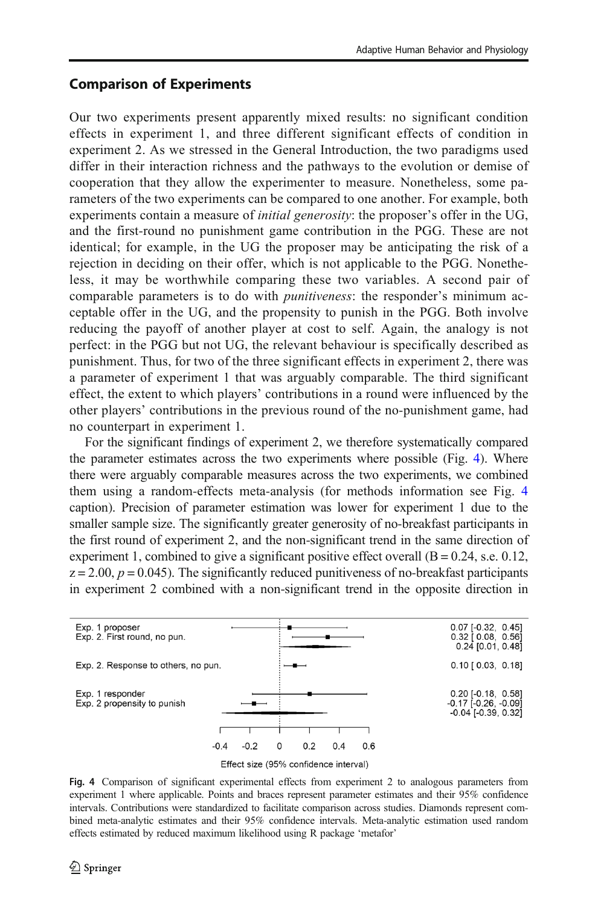#### Comparison of Experiments

Our two experiments present apparently mixed results: no significant condition effects in experiment 1, and three different significant effects of condition in experiment 2. As we stressed in the General Introduction, the two paradigms used differ in their interaction richness and the pathways to the evolution or demise of cooperation that they allow the experimenter to measure. Nonetheless, some parameters of the two experiments can be compared to one another. For example, both experiments contain a measure of *initial generosity*: the proposer's offer in the UG, and the first-round no punishment game contribution in the PGG. These are not identical; for example, in the UG the proposer may be anticipating the risk of a rejection in deciding on their offer, which is not applicable to the PGG. Nonetheless, it may be worthwhile comparing these two variables. A second pair of comparable parameters is to do with *punitiveness*: the responder's minimum acceptable offer in the UG, and the propensity to punish in the PGG. Both involve reducing the payoff of another player at cost to self. Again, the analogy is not perfect: in the PGG but not UG, the relevant behaviour is specifically described as punishment. Thus, for two of the three significant effects in experiment 2, there was a parameter of experiment 1 that was arguably comparable. The third significant effect, the extent to which players' contributions in a round were influenced by the other players' contributions in the previous round of the no-punishment game, had no counterpart in experiment 1.

For the significant findings of experiment 2, we therefore systematically compared the parameter estimates across the two experiments where possible (Fig. 4). Where there were arguably comparable measures across the two experiments, we combined them using a random-effects meta-analysis (for methods information see Fig. 4 caption). Precision of parameter estimation was lower for experiment 1 due to the smaller sample size. The significantly greater generosity of no-breakfast participants in the first round of experiment 2, and the non-significant trend in the same direction of experiment 1, combined to give a significant positive effect overall  $(B = 0.24$ , s.e. 0.12,  $z = 2.00$ ,  $p = 0.045$ ). The significantly reduced punitiveness of no-breakfast participants in experiment 2 combined with a non-significant trend in the opposite direction in



Fig. 4 Comparison of significant experimental effects from experiment 2 to analogous parameters from experiment 1 where applicable. Points and braces represent parameter estimates and their 95% confidence intervals. Contributions were standardized to facilitate comparison across studies. Diamonds represent combined meta-analytic estimates and their 95% confidence intervals. Meta-analytic estimation used random effects estimated by reduced maximum likelihood using R package 'metafor'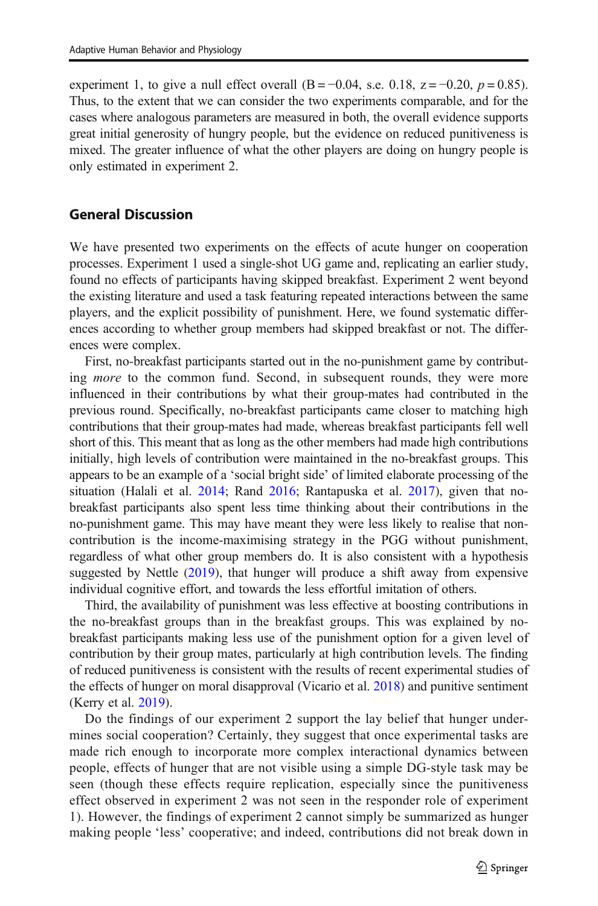experiment 1, to give a null effect overall  $(B = -0.04, s.e. 0.18, z = -0.20, p = 0.85)$ . Thus, to the extent that we can consider the two experiments comparable, and for the cases where analogous parameters are measured in both, the overall evidence supports great initial generosity of hungry people, but the evidence on reduced punitiveness is mixed. The greater influence of what the other players are doing on hungry people is only estimated in experiment 2.

#### General Discussion

We have presented two experiments on the effects of acute hunger on cooperation processes. Experiment 1 used a single-shot UG game and, replicating an earlier study, found no effects of participants having skipped breakfast. Experiment 2 went beyond the existing literature and used a task featuring repeated interactions between the same players, and the explicit possibility of punishment. Here, we found systematic differences according to whether group members had skipped breakfast or not. The differences were complex.

First, no-breakfast participants started out in the no-punishment game by contributing *more* to the common fund. Second, in subsequent rounds, they were more influenced in their contributions by what their group-mates had contributed in the previous round. Specifically, no-breakfast participants came closer to matching high contributions that their group-mates had made, whereas breakfast participants fell well short of this. This meant that as long as the other members had made high contributions initially, high levels of contribution were maintained in the no-breakfast groups. This appears to be an example of a 'social bright side' of limited elaborate processing of the situation (Halali et al. [2014](#page-20-0); Rand [2016](#page-20-0); Rantapuska et al. [2017\)](#page-20-0), given that nobreakfast participants also spent less time thinking about their contributions in the no-punishment game. This may have meant they were less likely to realise that noncontribution is the income-maximising strategy in the PGG without punishment, regardless of what other group members do. It is also consistent with a hypothesis suggested by Nettle [\(2019\)](#page-20-0), that hunger will produce a shift away from expensive individual cognitive effort, and towards the less effortful imitation of others.

Third, the availability of punishment was less effective at boosting contributions in the no-breakfast groups than in the breakfast groups. This was explained by nobreakfast participants making less use of the punishment option for a given level of contribution by their group mates, particularly at high contribution levels. The finding of reduced punitiveness is consistent with the results of recent experimental studies of the effects of hunger on moral disapproval (Vicario et al. [2018](#page-21-0)) and punitive sentiment (Kerry et al. [2019](#page-20-0)).

Do the findings of our experiment 2 support the lay belief that hunger undermines social cooperation? Certainly, they suggest that once experimental tasks are made rich enough to incorporate more complex interactional dynamics between people, effects of hunger that are not visible using a simple DG-style task may be seen (though these effects require replication, especially since the punitiveness effect observed in experiment 2 was not seen in the responder role of experiment 1). However, the findings of experiment 2 cannot simply be summarized as hunger making people 'less' cooperative; and indeed, contributions did not break down in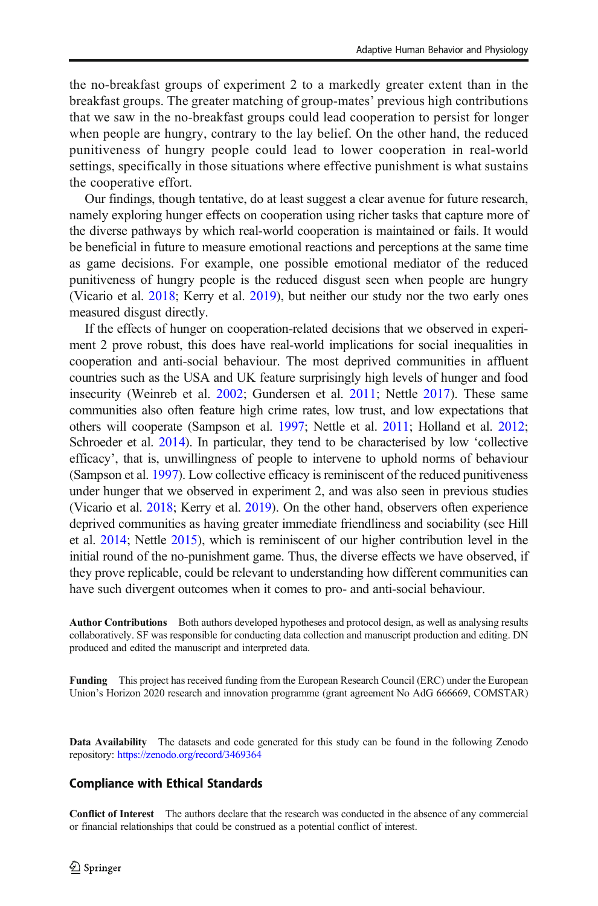the no-breakfast groups of experiment 2 to a markedly greater extent than in the breakfast groups. The greater matching of group-mates' previous high contributions that we saw in the no-breakfast groups could lead cooperation to persist for longer when people are hungry, contrary to the lay belief. On the other hand, the reduced punitiveness of hungry people could lead to lower cooperation in real-world settings, specifically in those situations where effective punishment is what sustains the cooperative effort.

Our findings, though tentative, do at least suggest a clear avenue for future research, namely exploring hunger effects on cooperation using richer tasks that capture more of the diverse pathways by which real-world cooperation is maintained or fails. It would be beneficial in future to measure emotional reactions and perceptions at the same time as game decisions. For example, one possible emotional mediator of the reduced punitiveness of hungry people is the reduced disgust seen when people are hungry (Vicario et al. [2018;](#page-21-0) Kerry et al. [2019](#page-20-0)), but neither our study nor the two early ones measured disgust directly.

If the effects of hunger on cooperation-related decisions that we observed in experiment 2 prove robust, this does have real-world implications for social inequalities in cooperation and anti-social behaviour. The most deprived communities in affluent countries such as the USA and UK feature surprisingly high levels of hunger and food insecurity (Weinreb et al. [2002;](#page-21-0) Gundersen et al. [2011;](#page-20-0) Nettle [2017\)](#page-20-0). These same communities also often feature high crime rates, low trust, and low expectations that others will cooperate (Sampson et al. [1997;](#page-20-0) Nettle et al. [2011;](#page-20-0) Holland et al. [2012;](#page-20-0) Schroeder et al. [2014](#page-21-0)). In particular, they tend to be characterised by low 'collective efficacy', that is, unwillingness of people to intervene to uphold norms of behaviour (Sampson et al. [1997\)](#page-20-0). Low collective efficacy is reminiscent of the reduced punitiveness under hunger that we observed in experiment 2, and was also seen in previous studies (Vicario et al. [2018](#page-21-0); Kerry et al. [2019\)](#page-20-0). On the other hand, observers often experience deprived communities as having greater immediate friendliness and sociability (see Hill et al. [2014](#page-20-0); Nettle [2015](#page-20-0)), which is reminiscent of our higher contribution level in the initial round of the no-punishment game. Thus, the diverse effects we have observed, if they prove replicable, could be relevant to understanding how different communities can have such divergent outcomes when it comes to pro- and anti-social behaviour.

Author Contributions Both authors developed hypotheses and protocol design, as well as analysing results collaboratively. SF was responsible for conducting data collection and manuscript production and editing. DN produced and edited the manuscript and interpreted data.

Funding This project has received funding from the European Research Council (ERC) under the European Union's Horizon 2020 research and innovation programme (grant agreement No AdG 666669, COMSTAR)

Data Availability The datasets and code generated for this study can be found in the following Zenodo repository: <https://zenodo.org/record/3469364>

#### Compliance with Ethical Standards

Conflict of Interest The authors declare that the research was conducted in the absence of any commercial or financial relationships that could be construed as a potential conflict of interest.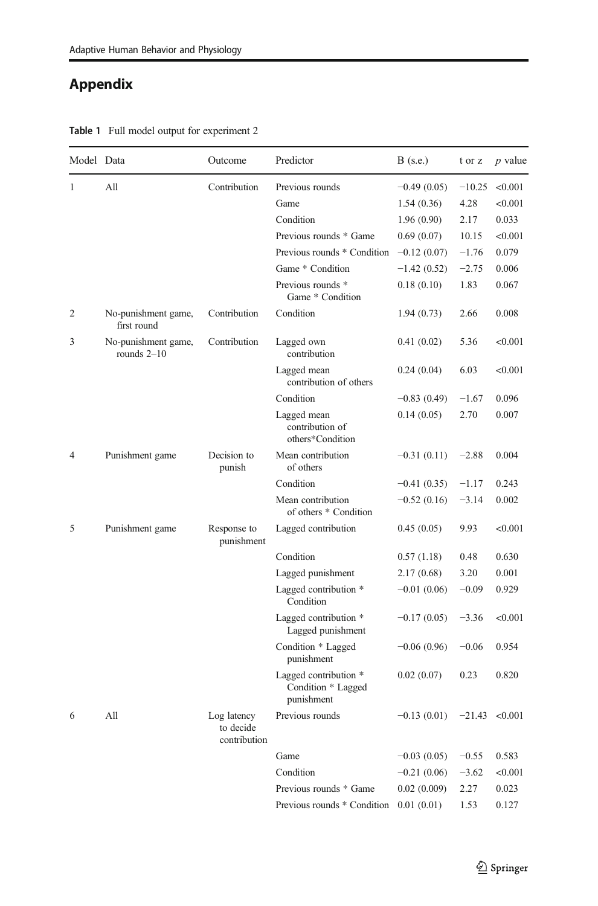# <span id="page-18-0"></span>Appendix

| Model Data |                                      | Outcome                                  | Predictor                                                 | $B$ (s.e.)    | t or z   | $p$ value |
|------------|--------------------------------------|------------------------------------------|-----------------------------------------------------------|---------------|----------|-----------|
| 1          | All                                  | Contribution                             | Previous rounds                                           | $-0.49(0.05)$ | $-10.25$ | < 0.001   |
|            |                                      |                                          | Game                                                      | 1.54(0.36)    | 4.28     | < 0.001   |
|            |                                      |                                          | Condition                                                 | 1.96(0.90)    | 2.17     | 0.033     |
|            |                                      |                                          | Previous rounds * Game                                    | 0.69(0.07)    | 10.15    | < 0.001   |
|            |                                      |                                          | Previous rounds * Condition                               | $-0.12(0.07)$ | $-1.76$  | 0.079     |
|            |                                      |                                          | Game * Condition                                          | $-1.42(0.52)$ | $-2.75$  | 0.006     |
|            |                                      |                                          | Previous rounds *<br>Game * Condition                     | 0.18(0.10)    | 1.83     | 0.067     |
| 2          | No-punishment game,<br>first round   | Contribution                             | Condition                                                 | 1.94(0.73)    | 2.66     | 0.008     |
| 3          | No-punishment game,<br>rounds $2-10$ | Contribution                             | Lagged own<br>contribution                                | 0.41(0.02)    | 5.36     | < 0.001   |
|            |                                      |                                          | Lagged mean<br>contribution of others                     | 0.24(0.04)    | 6.03     | < 0.001   |
|            |                                      |                                          | Condition                                                 | $-0.83(0.49)$ | $-1.67$  | 0.096     |
|            |                                      |                                          | Lagged mean<br>contribution of<br>others*Condition        | 0.14(0.05)    | 2.70     | 0.007     |
| 4          | Punishment game                      | Decision to<br>punish                    | Mean contribution<br>of others                            | $-0.31(0.11)$ | $-2.88$  | 0.004     |
|            |                                      |                                          | Condition                                                 | $-0.41(0.35)$ | $-1.17$  | 0.243     |
|            |                                      |                                          | Mean contribution<br>of others * Condition                | $-0.52(0.16)$ | $-3.14$  | 0.002     |
| 5          | Punishment game                      | Response to<br>punishment                | Lagged contribution                                       | 0.45(0.05)    | 9.93     | < 0.001   |
|            |                                      |                                          | Condition                                                 | 0.57(1.18)    | 0.48     | 0.630     |
|            |                                      |                                          | Lagged punishment                                         | 2.17(0.68)    | 3.20     | 0.001     |
|            |                                      |                                          | Lagged contribution *<br>Condition                        | $-0.01(0.06)$ | $-0.09$  | 0.929     |
|            |                                      |                                          | Lagged contribution *<br>Lagged punishment                | $-0.17(0.05)$ | $-3.36$  | < 0.001   |
|            |                                      |                                          | Condition * Lagged<br>punishment                          | $-0.06(0.96)$ | $-0.06$  | 0.954     |
|            |                                      |                                          | Lagged contribution *<br>Condition * Lagged<br>punishment | 0.02(0.07)    | 0.23     | 0.820     |
| 6          | All                                  | Log latency<br>to decide<br>contribution | Previous rounds                                           | $-0.13(0.01)$ | $-21.43$ | < 0.001   |
|            |                                      |                                          | Game                                                      | $-0.03(0.05)$ | $-0.55$  | 0.583     |
|            |                                      |                                          | Condition                                                 | $-0.21(0.06)$ | $-3.62$  | < 0.001   |
|            |                                      |                                          | Previous rounds * Game                                    | 0.02(0.009)   | 2.27     | 0.023     |
|            |                                      |                                          | Previous rounds * Condition                               | 0.01(0.01)    | 1.53     | 0.127     |

Table 1 Full model output for experiment 2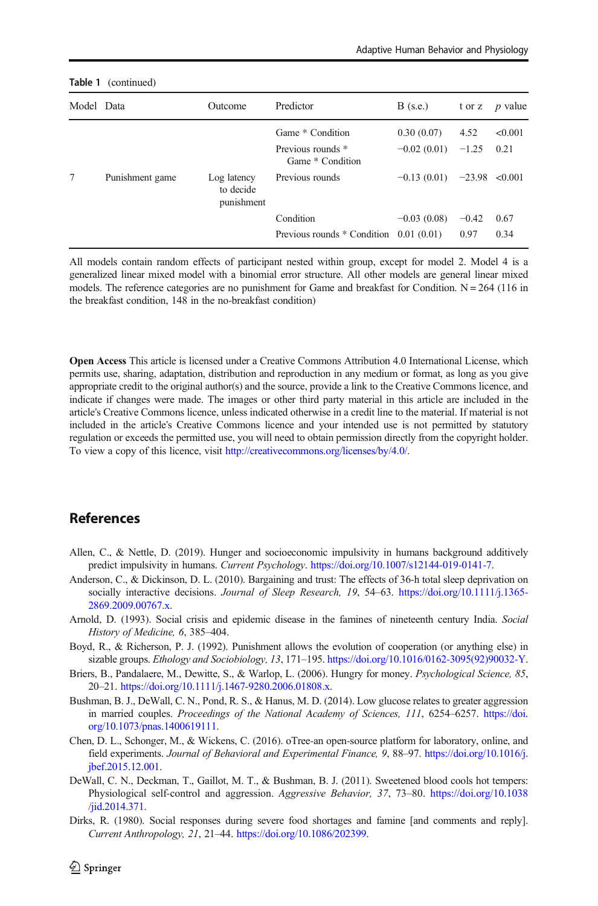| $i$ and $i$ (community |                 |                                        |                                           |                                |         |                |  |  |  |  |
|------------------------|-----------------|----------------------------------------|-------------------------------------------|--------------------------------|---------|----------------|--|--|--|--|
| Model Data             |                 | Outcome                                | Predictor                                 | $B$ (s.e.)                     | t or z  | <i>p</i> value |  |  |  |  |
|                        |                 |                                        | Game * Condition                          | 0.30(0.07)                     | 4.52    | < 0.001        |  |  |  |  |
|                        |                 |                                        | Previous rounds *<br>Game * Condition     | $-0.02(0.01)$                  | $-1.25$ | 0.21           |  |  |  |  |
| 7                      | Punishment game | Log latency<br>to decide<br>punishment | Previous rounds                           | $-0.13(0.01)$ $-23.98 < 0.001$ |         |                |  |  |  |  |
|                        |                 |                                        | Condition                                 | $-0.03(0.08)$                  | $-0.42$ | 0.67           |  |  |  |  |
|                        |                 |                                        | Previous rounds $*$ Condition 0.01 (0.01) |                                | 0.97    | 0.34           |  |  |  |  |
|                        |                 |                                        |                                           |                                |         |                |  |  |  |  |

<span id="page-19-0"></span>Table 1 (continued)

All models contain random effects of participant nested within group, except for model 2. Model 4 is a generalized linear mixed model with a binomial error structure. All other models are general linear mixed models. The reference categories are no punishment for Game and breakfast for Condition.  $N = 264$  (116 in the breakfast condition, 148 in the no-breakfast condition)

Open Access This article is licensed under a Creative Commons Attribution 4.0 International License, which permits use, sharing, adaptation, distribution and reproduction in any medium or format, as long as you give appropriate credit to the original author(s) and the source, provide a link to the Creative Commons licence, and indicate if changes were made. The images or other third party material in this article are included in the article's Creative Commons licence, unless indicated otherwise in a credit line to the material. If material is not included in the article's Creative Commons licence and your intended use is not permitted by statutory regulation or exceeds the permitted use, you will need to obtain permission directly from the copyright holder. To view a copy of this licence, visit [http://creativecommons.org/licenses/by/4.0/](https://doi.org/).

## References

- Allen, C., & Nettle, D. (2019). Hunger and socioeconomic impulsivity in humans background additively predict impulsivity in humans. Current Psychology. <https://doi.org/10.1007/s12144-019-0141-7>.
- Anderson, C., & Dickinson, D. L. (2010). Bargaining and trust: The effects of 36-h total sleep deprivation on socially interactive decisions. Journal of Sleep Research, 19, 54–63. [https://doi.org/10.1111/j.1365-](https://doi.org/10.1111/j.1365-2869.2009.00767.x) [2869.2009.00767.x.](https://doi.org/10.1111/j.1365-2869.2009.00767.x)
- Arnold, D. (1993). Social crisis and epidemic disease in the famines of nineteenth century India. Social History of Medicine, 6, 385–404.
- Boyd, R., & Richerson, P. J. (1992). Punishment allows the evolution of cooperation (or anything else) in sizable groups. Ethology and Sociobiology, 13, 171–195. [https://doi.org/10.1016/0162-3095\(92\)90032-Y](https://doi.org/10.1016/0162-3095(92)90032-Y).
- Briers, B., Pandalaere, M., Dewitte, S., & Warlop, L. (2006). Hungry for money. Psychological Science, 85, 20–21. [https://doi.org/10.1111/j.1467-9280.2006.01808.x.](https://doi.org/10.1111/j.1467-9280.2006.01808.x)
- Bushman, B. J., DeWall, C. N., Pond, R. S., & Hanus, M. D. (2014). Low glucose relates to greater aggression in married couples. Proceedings of the National Academy of Sciences, 111, 6254–6257. [https://doi.](https://doi.org/10.1073/pnas.1400619111) [org/10.1073/pnas.1400619111](https://doi.org/10.1073/pnas.1400619111).
- Chen, D. L., Schonger, M., & Wickens, C. (2016). oTree-an open-source platform for laboratory, online, and field experiments. Journal of Behavioral and Experimental Finance, 9, 88–97. [https://doi.org/10.1016/j.](https://doi.org/10.1016/j.jbef.2015.12.001) [jbef.2015.12.001](https://doi.org/10.1016/j.jbef.2015.12.001).
- DeWall, C. N., Deckman, T., Gaillot, M. T., & Bushman, B. J. (2011). Sweetened blood cools hot tempers: Physiological self-control and aggression. Aggressive Behavior, 37, 73–80. [https://doi.org/10.1038](https://doi.org/10.1038/jid.2014.371) [/jid.2014.371.](https://doi.org/10.1038/jid.2014.371)
- Dirks, R. (1980). Social responses during severe food shortages and famine [and comments and reply]. Current Anthropology, 21, 21–44. <https://doi.org/10.1086/202399>.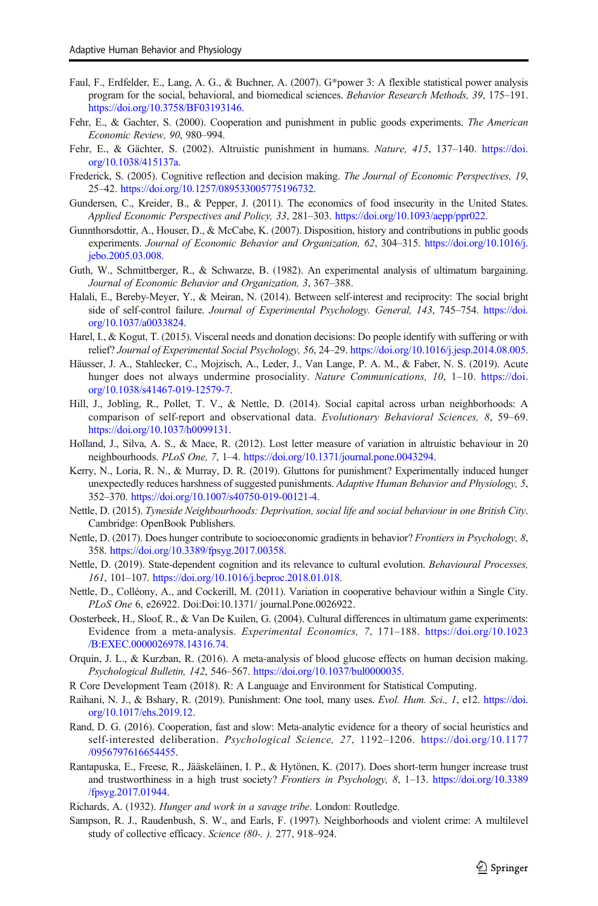- <span id="page-20-0"></span>Faul, F., Erdfelder, E., Lang, A. G., & Buchner, A. (2007). G\*power 3: A flexible statistical power analysis program for the social, behavioral, and biomedical sciences. Behavior Research Methods, 39, 175–191. [https://doi.org/10.3758/BF03193146.](https://doi.org/10.3758/BF03193146)
- Fehr, E., & Gachter, S. (2000). Cooperation and punishment in public goods experiments. The American Economic Review, 90, 980–994.
- Fehr, E., & Gächter, S. (2002). Altruistic punishment in humans. Nature, 415, 137–140. [https://doi.](https://doi.org/10.1038/415137a) [org/10.1038/415137a](https://doi.org/10.1038/415137a).
- Frederick, S. (2005). Cognitive reflection and decision making. The Journal of Economic Perspectives, 19, 25–42. <https://doi.org/10.1257/089533005775196732>.
- Gundersen, C., Kreider, B., & Pepper, J. (2011). The economics of food insecurity in the United States. Applied Economic Perspectives and Policy, 33, 281–303. [https://doi.org/10.1093/aepp/ppr022.](https://doi.org/10.1093/aepp/ppr022)
- Gunnthorsdottir, A., Houser, D., & McCabe, K. (2007). Disposition, history and contributions in public goods experiments. Journal of Economic Behavior and Organization, 62, 304–315. [https://doi.org/10.1016/j.](https://doi.org/10.1016/j.jebo.2005.03.008) [jebo.2005.03.008.](https://doi.org/10.1016/j.jebo.2005.03.008)
- Guth, W., Schmittberger, R., & Schwarze, B. (1982). An experimental analysis of ultimatum bargaining. Journal of Economic Behavior and Organization, 3, 367–388.
- Halali, E., Bereby-Meyer, Y., & Meiran, N. (2014). Between self-interest and reciprocity: The social bright side of self-control failure. Journal of Experimental Psychology. General, 143, 745–754. [https://doi.](https://doi.org/10.1037/a0033824) [org/10.1037/a0033824.](https://doi.org/10.1037/a0033824)
- Harel, I., & Kogut, T. (2015). Visceral needs and donation decisions: Do people identify with suffering or with relief? Journal of Experimental Social Psychology, 56, 24–29. <https://doi.org/10.1016/j.jesp.2014.08.005>.
- Häusser, J. A., Stahlecker, C., Mojzisch, A., Leder, J., Van Lange, P. A. M., & Faber, N. S. (2019). Acute hunger does not always undermine prosociality. Nature Communications, 10, 1–10. [https://doi.](https://doi.org/10.1038/s41467-019-12579-7) [org/10.1038/s41467-019-12579-7](https://doi.org/10.1038/s41467-019-12579-7).
- Hill, J., Jobling, R., Pollet, T. V., & Nettle, D. (2014). Social capital across urban neighborhoods: A comparison of self-report and observational data. Evolutionary Behavioral Sciences, 8, 59–69. <https://doi.org/10.1037/h0099131>.
- Holland, J., Silva, A. S., & Mace, R. (2012). Lost letter measure of variation in altruistic behaviour in 20 neighbourhoods. PLoS One, 7, 1–4. [https://doi.org/10.1371/journal.pone.0043294.](https://doi.org/10.1371/journal.pone.0043294)
- Kerry, N., Loria, R. N., & Murray, D. R. (2019). Gluttons for punishment? Experimentally induced hunger unexpectedly reduces harshness of suggested punishments. Adaptive Human Behavior and Physiology, 5, 352–370. <https://doi.org/10.1007/s40750-019-00121-4>.
- Nettle, D. (2015). Tyneside Neighbourhoods: Deprivation, social life and social behaviour in one British City. Cambridge: OpenBook Publishers.
- Nettle, D. (2017). Does hunger contribute to socioeconomic gradients in behavior? Frontiers in Psychology, 8, 358. [https://doi.org/10.3389/fpsyg.2017.00358.](https://doi.org/10.3389/fpsyg.2017.00358)
- Nettle, D. (2019). State-dependent cognition and its relevance to cultural evolution. Behavioural Processes, 161, 101–107. [https://doi.org/10.1016/j.beproc.2018.01.018.](https://doi.org/10.1016/j.beproc.2018.01.018)
- Nettle, D., Colléony, A., and Cockerill, M. (2011). Variation in cooperative behaviour within a Single City. PLoS One 6, e26922. Doi:Doi:10.1371/ journal.Pone.0026922.
- Oosterbeek, H., Sloof, R., & Van De Kuilen, G. (2004). Cultural differences in ultimatum game experiments: Evidence from a meta-analysis. Experimental Economics, 7, 171–188. [https://doi.org/10.1023](https://doi.org/10.1023/B:EXEC.0000026978.14316.74) [/B:EXEC.0000026978.14316.74.](https://doi.org/10.1023/B:EXEC.0000026978.14316.74)
- Orquin, J. L., & Kurzban, R. (2016). A meta-analysis of blood glucose effects on human decision making. Psychological Bulletin, 142, 546–567. <https://doi.org/10.1037/bul0000035>.
- R Core Development Team (2018). R: A Language and Environment for Statistical Computing.
- Raihani, N. J., & Bshary, R. (2019). Punishment: One tool, many uses. Evol. Hum. Sci., 1, e12. [https://doi.](https://doi.org/10.1017/ehs.2019.12) [org/10.1017/ehs.2019.12.](https://doi.org/10.1017/ehs.2019.12)
- Rand, D. G. (2016). Cooperation, fast and slow: Meta-analytic evidence for a theory of social heuristics and self-interested deliberation. Psychological Science, 27, 1192–1206. [https://doi.org/10.1177](https://doi.org/10.1177/0956797616654455) [/0956797616654455](https://doi.org/10.1177/0956797616654455).
- Rantapuska, E., Freese, R., Jääskeläinen, I. P., & Hytönen, K. (2017). Does short-term hunger increase trust and trustworthiness in a high trust society? Frontiers in Psychology, 8, 1–13. [https://doi.org/10.3389](https://doi.org/10.3389/fpsyg.2017.01944) [/fpsyg.2017.01944.](https://doi.org/10.3389/fpsyg.2017.01944)
- Richards, A. (1932). Hunger and work in a savage tribe. London: Routledge.
- Sampson, R. J., Raudenbush, S. W., and Earls, F. (1997). Neighborhoods and violent crime: A multilevel study of collective efficacy. Science (80-. ). 277, 918–924.